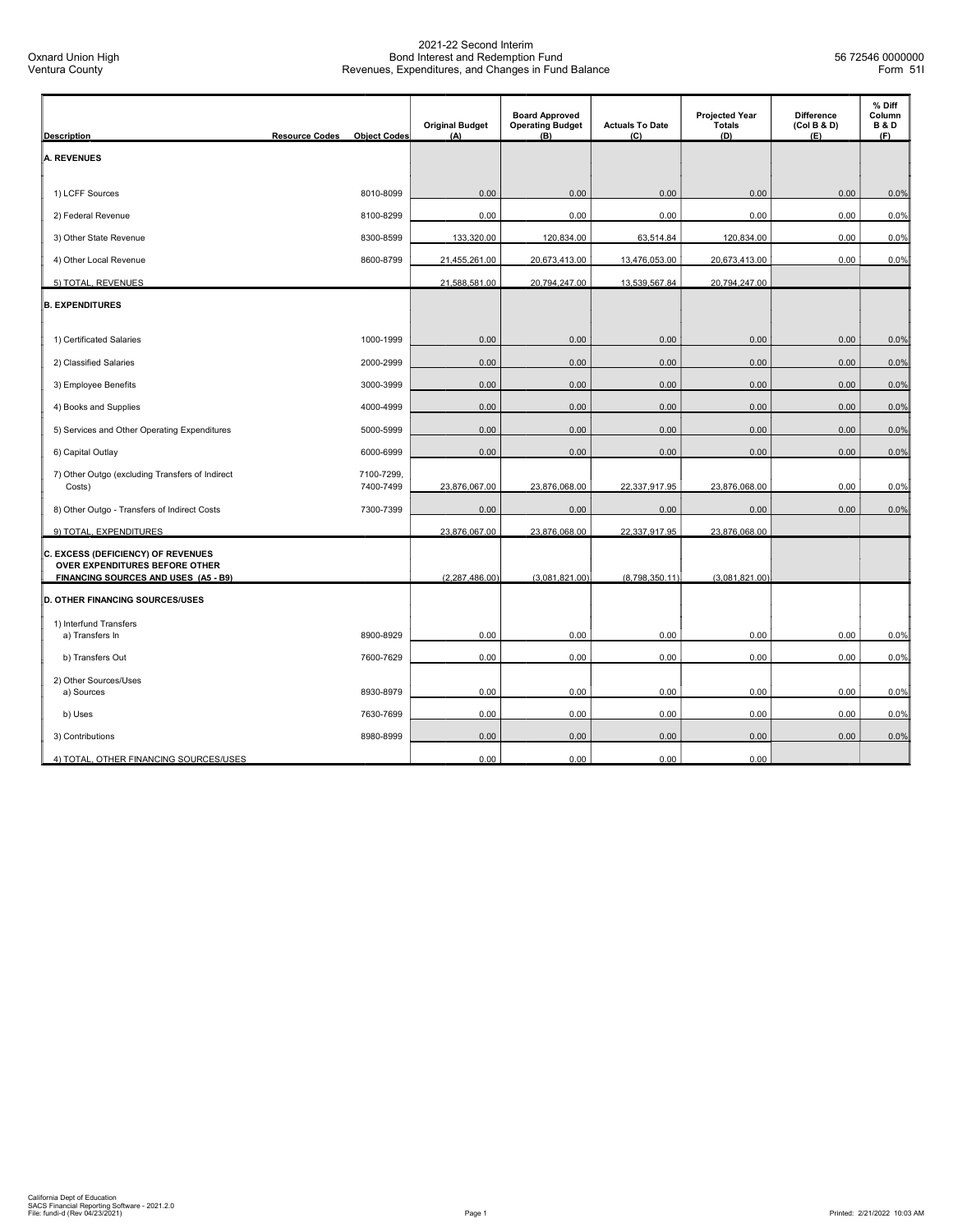| <b>Description</b>                                                                                           | <b>Resource Codes</b><br><b>Object Codes</b> | <b>Original Budget</b><br>(A) | <b>Board Approved</b><br><b>Operating Budget</b><br>(B) | <b>Actuals To Date</b><br>(C) | <b>Projected Year</b><br><b>Totals</b><br>(D) | <b>Difference</b><br>(Col B & D)<br>(E) | % Diff<br>Column<br><b>B&amp;D</b><br>(F) |
|--------------------------------------------------------------------------------------------------------------|----------------------------------------------|-------------------------------|---------------------------------------------------------|-------------------------------|-----------------------------------------------|-----------------------------------------|-------------------------------------------|
| <b>A. REVENUES</b>                                                                                           |                                              |                               |                                                         |                               |                                               |                                         |                                           |
|                                                                                                              |                                              |                               |                                                         |                               |                                               |                                         |                                           |
| 1) LCFF Sources                                                                                              | 8010-8099                                    | 0.00                          | 0.00                                                    | 0.00                          | 0.00                                          | 0.00                                    | 0.0%                                      |
| 2) Federal Revenue                                                                                           | 8100-8299                                    | 0.00                          | 0.00                                                    | 0.00                          | 0.00                                          | 0.00                                    | 0.0%                                      |
| 3) Other State Revenue                                                                                       | 8300-8599                                    | 133,320.00                    | 120,834.00                                              | 63,514.84                     | 120,834.00                                    | 0.00                                    | 0.0%                                      |
| 4) Other Local Revenue                                                                                       | 8600-8799                                    | 21,455,261.00                 | 20,673,413.00                                           | 13,476,053.00                 | 20,673,413.00                                 | 0.00                                    | 0.0%                                      |
| 5) TOTAL, REVENUES                                                                                           |                                              | 21,588,581.00                 | 20,794,247.00                                           | 13,539,567.84                 | 20,794,247.00                                 |                                         |                                           |
| <b>B. EXPENDITURES</b>                                                                                       |                                              |                               |                                                         |                               |                                               |                                         |                                           |
|                                                                                                              |                                              |                               |                                                         |                               |                                               |                                         |                                           |
| 1) Certificated Salaries                                                                                     | 1000-1999                                    | 0.00                          | 0.00                                                    | 0.00                          | 0.00                                          | 0.00                                    | 0.0%                                      |
| 2) Classified Salaries                                                                                       | 2000-2999                                    | 0.00                          | 0.00                                                    | 0.00                          | 0.00                                          | 0.00                                    | 0.0%                                      |
| 3) Employee Benefits                                                                                         | 3000-3999                                    | 0.00                          | 0.00                                                    | 0.00                          | 0.00                                          | 0.00                                    | 0.0%                                      |
| 4) Books and Supplies                                                                                        | 4000-4999                                    | 0.00                          | 0.00                                                    | 0.00                          | 0.00                                          | 0.00                                    | 0.0%                                      |
| 5) Services and Other Operating Expenditures                                                                 | 5000-5999                                    | 0.00                          | 0.00                                                    | 0.00                          | 0.00                                          | 0.00                                    | 0.0%                                      |
| 6) Capital Outlay                                                                                            | 6000-6999                                    | 0.00                          | 0.00                                                    | 0.00                          | 0.00                                          | 0.00                                    | 0.0%                                      |
| 7) Other Outgo (excluding Transfers of Indirect<br>Costs)                                                    | 7100-7299,<br>7400-7499                      | 23,876,067.00                 | 23,876,068.00                                           | 22,337,917.95                 | 23,876,068.00                                 | 0.00                                    | 0.0%                                      |
| 8) Other Outgo - Transfers of Indirect Costs                                                                 | 7300-7399                                    | 0.00                          | 0.00                                                    | 0.00                          | 0.00                                          | 0.00                                    | 0.0%                                      |
| 9) TOTAL, EXPENDITURES                                                                                       |                                              | 23,876,067.00                 | 23,876,068.00                                           | 22,337,917.95                 | 23,876,068.00                                 |                                         |                                           |
| C. EXCESS (DEFICIENCY) OF REVENUES<br>OVER EXPENDITURES BEFORE OTHER<br>FINANCING SOURCES AND USES (A5 - B9) |                                              | (2, 287, 486.00)              | (3,081,821.00)                                          | (8,798,350.11)                | (3,081,821.00)                                |                                         |                                           |
|                                                                                                              |                                              |                               |                                                         |                               |                                               |                                         |                                           |
| D. OTHER FINANCING SOURCES/USES                                                                              |                                              |                               |                                                         |                               |                                               |                                         |                                           |
| 1) Interfund Transfers<br>a) Transfers In                                                                    | 8900-8929                                    | 0.00                          | 0.00                                                    | 0.00                          | 0.00                                          | 0.00                                    | 0.0%                                      |
| b) Transfers Out                                                                                             | 7600-7629                                    | 0.00                          | 0.00                                                    | 0.00                          | 0.00                                          | 0.00                                    | 0.0%                                      |
| 2) Other Sources/Uses                                                                                        |                                              |                               |                                                         |                               |                                               |                                         |                                           |
| a) Sources                                                                                                   | 8930-8979                                    | 0.00                          | 0.00                                                    | 0.00                          | 0.00                                          | 0.00                                    | 0.0%                                      |
| b) Uses                                                                                                      | 7630-7699                                    | 0.00                          | 0.00                                                    | 0.00                          | 0.00                                          | 0.00                                    | 0.0%                                      |
| 3) Contributions                                                                                             | 8980-8999                                    | 0.00                          | 0.00                                                    | 0.00                          | 0.00                                          | 0.00                                    | 0.0%                                      |
| 4) TOTAL, OTHER FINANCING SOURCES/USES                                                                       |                                              | 0.00                          | 0.00                                                    | 0.00                          | 0.00                                          |                                         |                                           |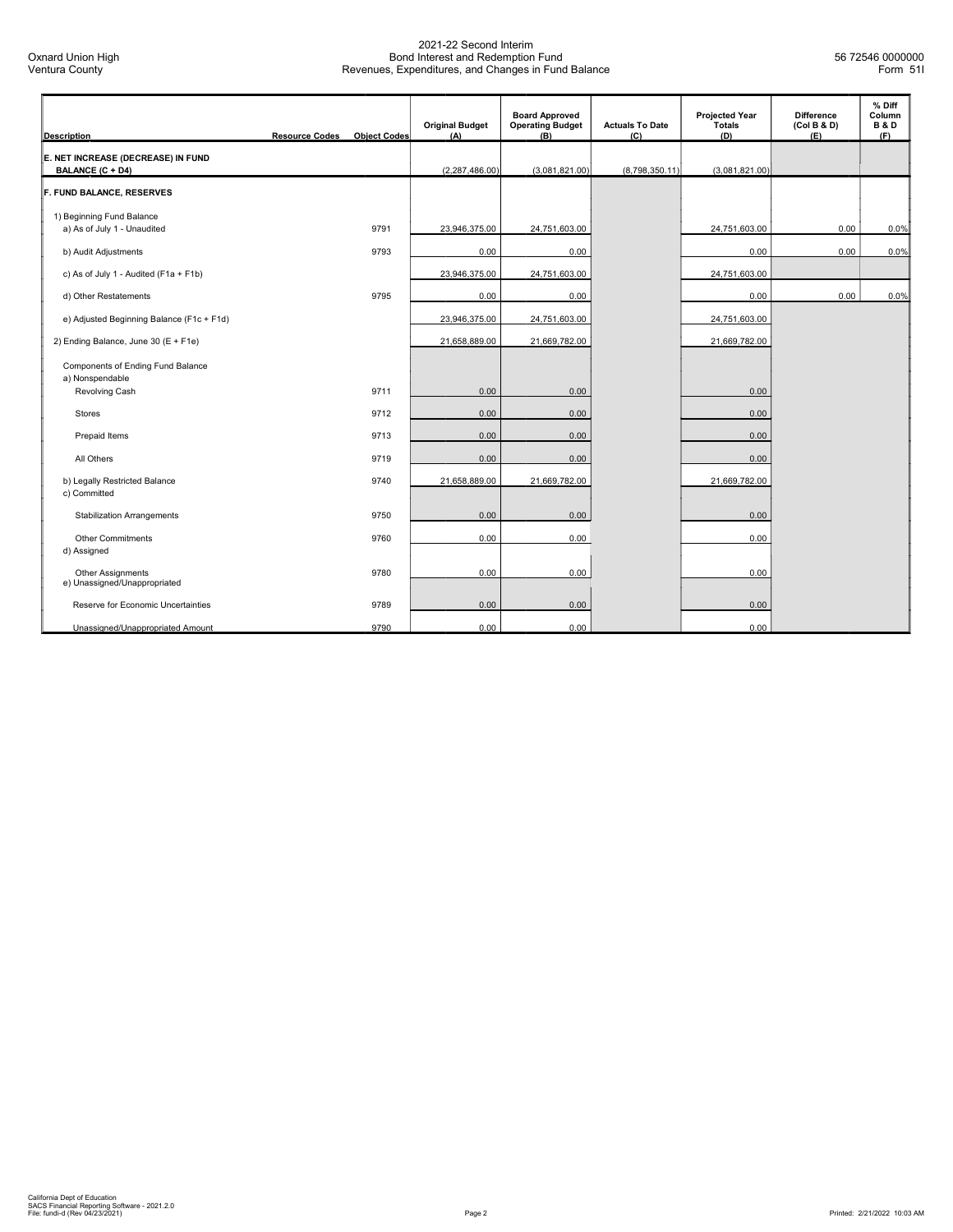| <b>Description</b>                                       | <b>Resource Codes</b> | <b>Object Codes</b> | <b>Original Budget</b><br>(A) | <b>Board Approved</b><br><b>Operating Budget</b><br>(B) | <b>Actuals To Date</b><br>(C) | <b>Projected Year</b><br>Totals<br>(D) | <b>Difference</b><br>(Col B & D)<br>(E) | % Diff<br>Column<br><b>B&amp;D</b><br>(F) |
|----------------------------------------------------------|-----------------------|---------------------|-------------------------------|---------------------------------------------------------|-------------------------------|----------------------------------------|-----------------------------------------|-------------------------------------------|
| E. NET INCREASE (DECREASE) IN FUND<br>BALANCE (C + D4)   |                       |                     | (2, 287, 486.00)              | (3,081,821.00)                                          | (8,798,350.11)                | (3,081,821.00)                         |                                         |                                           |
| F. FUND BALANCE, RESERVES                                |                       |                     |                               |                                                         |                               |                                        |                                         |                                           |
| 1) Beginning Fund Balance<br>a) As of July 1 - Unaudited |                       | 9791                | 23,946,375.00                 | 24,751,603.00                                           |                               | 24,751,603.00                          | 0.00                                    | 0.0%                                      |
| b) Audit Adjustments                                     |                       | 9793                | 0.00                          | 0.00                                                    |                               | 0.00                                   | 0.00                                    | 0.0%                                      |
| c) As of July 1 - Audited (F1a + F1b)                    |                       |                     | 23,946,375.00                 | 24,751,603.00                                           |                               | 24,751,603.00                          |                                         |                                           |
| d) Other Restatements                                    |                       | 9795                | 0.00                          | 0.00                                                    |                               | 0.00                                   | 0.00                                    | 0.0%                                      |
| e) Adjusted Beginning Balance (F1c + F1d)                |                       |                     | 23,946,375.00                 | 24,751,603.00                                           |                               | 24,751,603.00                          |                                         |                                           |
| 2) Ending Balance, June 30 (E + F1e)                     |                       |                     | 21,658,889.00                 | 21,669,782.00                                           |                               | 21,669,782.00                          |                                         |                                           |
| Components of Ending Fund Balance<br>a) Nonspendable     |                       |                     |                               |                                                         |                               |                                        |                                         |                                           |
| Revolving Cash                                           |                       | 9711                | 0.00                          | 0.00                                                    |                               | 0.00                                   |                                         |                                           |
| <b>Stores</b>                                            |                       | 9712                | 0.00                          | 0.00                                                    |                               | 0.00                                   |                                         |                                           |
| Prepaid Items                                            |                       | 9713                | 0.00                          | 0.00                                                    |                               | 0.00                                   |                                         |                                           |
| All Others                                               |                       | 9719                | 0.00                          | 0.00                                                    |                               | 0.00                                   |                                         |                                           |
| b) Legally Restricted Balance<br>c) Committed            |                       | 9740                | 21,658,889.00                 | 21,669,782.00                                           |                               | 21,669,782.00                          |                                         |                                           |
| <b>Stabilization Arrangements</b>                        |                       | 9750                | 0.00                          | 0.00                                                    |                               | 0.00                                   |                                         |                                           |
| <b>Other Commitments</b><br>d) Assigned                  |                       | 9760                | 0.00                          | 0.00                                                    |                               | 0.00                                   |                                         |                                           |
| Other Assignments<br>e) Unassigned/Unappropriated        |                       | 9780                | 0.00                          | 0.00                                                    |                               | 0.00                                   |                                         |                                           |
| Reserve for Economic Uncertainties                       |                       | 9789                | 0.00                          | 0.00                                                    |                               | 0.00                                   |                                         |                                           |
| Unassigned/Unappropriated Amount                         |                       | 9790                | 0.00                          | 0.00                                                    |                               | 0.00                                   |                                         |                                           |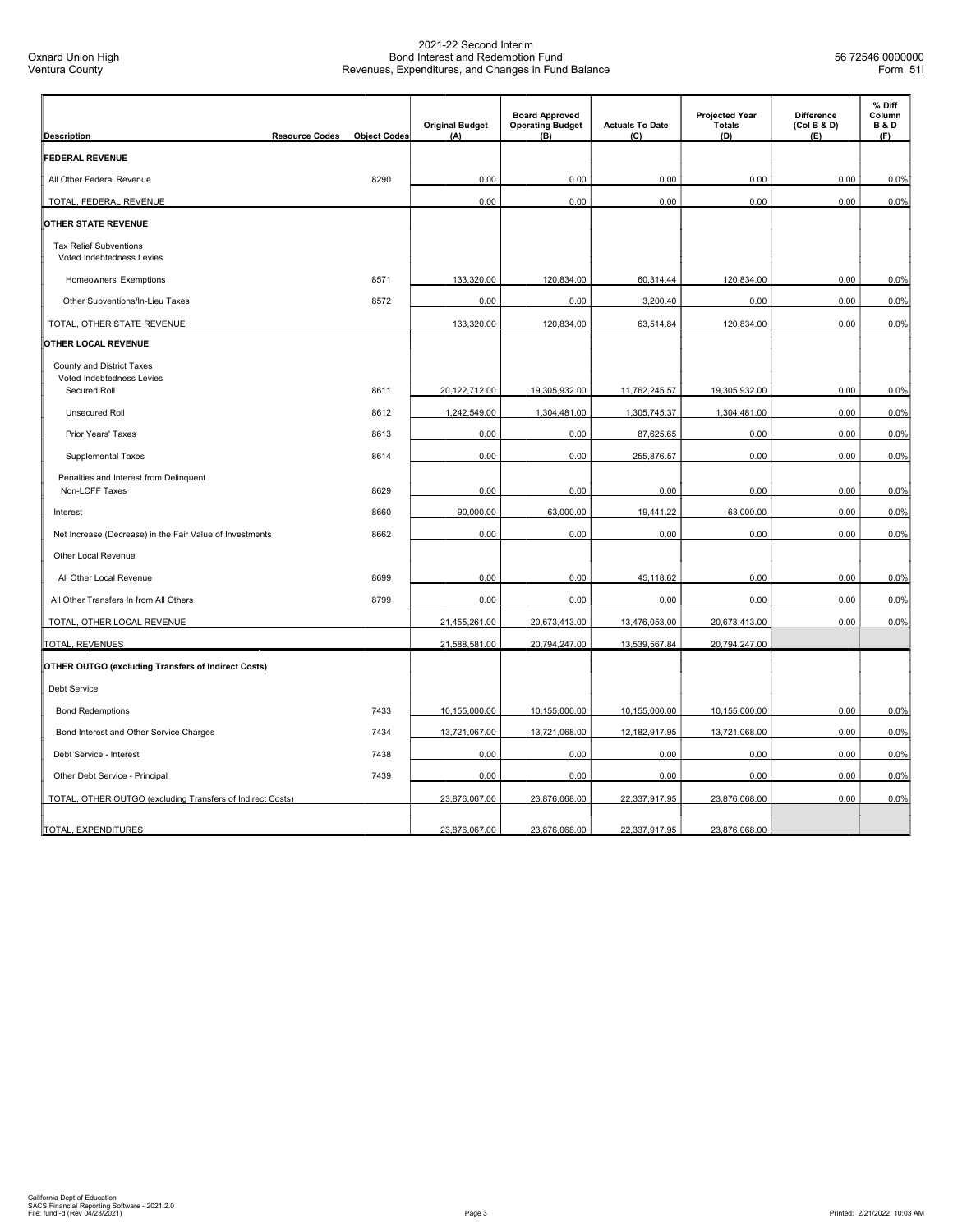| <b>Description</b>                                         | <b>Resource Codes</b> | <b>Object Codes</b> | <b>Original Budget</b><br>(A) | <b>Board Approved</b><br><b>Operating Budget</b><br>(B) | <b>Actuals To Date</b><br>(C) | <b>Projected Year</b><br><b>Totals</b><br>(D) | <b>Difference</b><br>(Col B & D)<br>(E) | % Diff<br>Column<br><b>B&amp;D</b><br>(F) |
|------------------------------------------------------------|-----------------------|---------------------|-------------------------------|---------------------------------------------------------|-------------------------------|-----------------------------------------------|-----------------------------------------|-------------------------------------------|
| <b>FEDERAL REVENUE</b>                                     |                       |                     |                               |                                                         |                               |                                               |                                         |                                           |
| All Other Federal Revenue                                  |                       | 8290                | 0.00                          | 0.00                                                    | 0.00                          | 0.00                                          | 0.00                                    | 0.0%                                      |
| TOTAL, FEDERAL REVENUE                                     |                       |                     | 0.00                          | 0.00                                                    | 0.00                          | 0.00                                          | 0.00                                    | 0.0%                                      |
| <b>OTHER STATE REVENUE</b>                                 |                       |                     |                               |                                                         |                               |                                               |                                         |                                           |
| <b>Tax Relief Subventions</b><br>Voted Indebtedness Levies |                       |                     |                               |                                                         |                               |                                               |                                         |                                           |
| Homeowners' Exemptions                                     |                       | 8571                | 133,320.00                    | 120,834.00                                              | 60,314.44                     | 120,834.00                                    | 0.00                                    | 0.0%                                      |
| Other Subventions/In-Lieu Taxes                            |                       | 8572                | 0.00                          | 0.00                                                    | 3,200.40                      | 0.00                                          | 0.00                                    | 0.0%                                      |
| TOTAL, OTHER STATE REVENUE                                 |                       |                     | 133,320.00                    | 120,834.00                                              | 63,514.84                     | 120,834.00                                    | 0.00                                    | 0.0%                                      |
| OTHER LOCAL REVENUE                                        |                       |                     |                               |                                                         |                               |                                               |                                         |                                           |
| County and District Taxes                                  |                       |                     |                               |                                                         |                               |                                               |                                         |                                           |
| Voted Indebtedness Levies<br>Secured Roll                  |                       | 8611                | 20,122,712.00                 | 19,305,932.00                                           | 11,762,245.57                 | 19,305,932.00                                 | 0.00                                    | 0.0%                                      |
| <b>Unsecured Roll</b>                                      |                       | 8612                | 1,242,549.00                  | 1,304,481.00                                            | 1,305,745.37                  | 1,304,481.00                                  | 0.00                                    | 0.0%                                      |
| Prior Years' Taxes                                         |                       | 8613                | 0.00                          | 0.00                                                    | 87,625.65                     | 0.00                                          | 0.00                                    | 0.0%                                      |
| <b>Supplemental Taxes</b>                                  |                       | 8614                | 0.00                          | 0.00                                                    | 255,876.57                    | 0.00                                          | 0.00                                    | 0.0%                                      |
| Penalties and Interest from Delinquent<br>Non-LCFF Taxes   |                       | 8629                | 0.00                          | 0.00                                                    | 0.00                          | 0.00                                          | 0.00                                    | 0.0%                                      |
| Interest                                                   |                       | 8660                | 90,000.00                     | 63,000.00                                               | 19,441.22                     | 63,000.00                                     | 0.00                                    | 0.0%                                      |
| Net Increase (Decrease) in the Fair Value of Investments   |                       | 8662                | 0.00                          | 0.00                                                    | 0.00                          | 0.00                                          | 0.00                                    | 0.0%                                      |
| Other Local Revenue                                        |                       |                     |                               |                                                         |                               |                                               |                                         |                                           |
| All Other Local Revenue                                    |                       | 8699                | 0.00                          | 0.00                                                    | 45,118.62                     | 0.00                                          | 0.00                                    | 0.0%                                      |
| All Other Transfers In from All Others                     |                       | 8799                | 0.00                          | 0.00                                                    | 0.00                          | 0.00                                          | 0.00                                    | 0.0%                                      |
| TOTAL, OTHER LOCAL REVENUE                                 |                       |                     | 21,455,261.00                 | 20,673,413.00                                           | 13,476,053.00                 | 20,673,413.00                                 | 0.00                                    | 0.0%                                      |
| <b>TOTAL, REVENUES</b>                                     |                       |                     | 21,588,581.00                 | 20,794,247.00                                           | 13,539,567.84                 | 20,794,247.00                                 |                                         |                                           |
| <b>OTHER OUTGO (excluding Transfers of Indirect Costs)</b> |                       |                     |                               |                                                         |                               |                                               |                                         |                                           |
| <b>Debt Service</b>                                        |                       |                     |                               |                                                         |                               |                                               |                                         |                                           |
| <b>Bond Redemptions</b>                                    |                       | 7433                | 10,155,000.00                 | 10,155,000.00                                           | 10,155,000.00                 | 10,155,000.00                                 | 0.00                                    | 0.0%                                      |
| Bond Interest and Other Service Charges                    |                       | 7434                | 13,721,067.00                 | 13,721,068.00                                           | 12, 182, 917. 95              | 13,721,068.00                                 | 0.00                                    | 0.0%                                      |
| Debt Service - Interest                                    |                       | 7438                | 0.00                          | 0.00                                                    | 0.00                          | 0.00                                          | 0.00                                    | 0.0%                                      |
| Other Debt Service - Principal                             |                       | 7439                | 0.00                          | 0.00                                                    | 0.00                          | 0.00                                          | 0.00                                    | 0.0%                                      |
| TOTAL, OTHER OUTGO (excluding Transfers of Indirect Costs) |                       |                     | 23,876,067.00                 | 23,876,068.00                                           | 22,337,917.95                 | 23,876,068.00                                 | 0.00                                    | 0.0%                                      |
| TOTAL, EXPENDITURES                                        |                       |                     | 23,876,067.00                 | 23,876,068.00                                           | 22,337,917.95                 | 23,876,068.00                                 |                                         |                                           |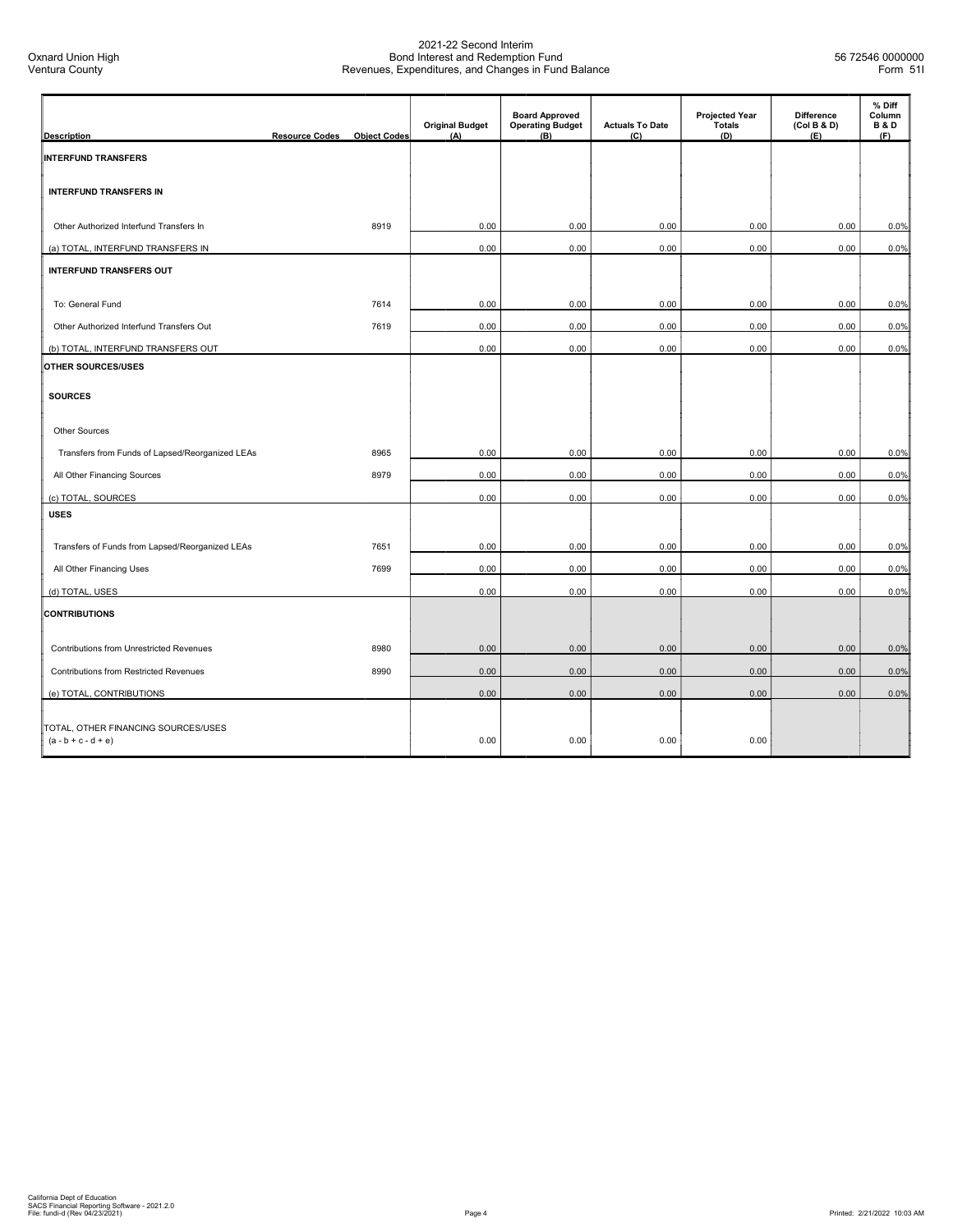| <b>Description</b>                                           | <b>Resource Codes</b> | <b>Object Codes</b> | <b>Original Budget</b><br>(A) | <b>Board Approved</b><br><b>Operating Budget</b><br>(B) | <b>Actuals To Date</b><br>(C) | <b>Projected Year</b><br><b>Totals</b><br>(D) | <b>Difference</b><br>(Col B & D)<br>(E) | % Diff<br>Column<br><b>B&amp;D</b><br>(F) |
|--------------------------------------------------------------|-----------------------|---------------------|-------------------------------|---------------------------------------------------------|-------------------------------|-----------------------------------------------|-----------------------------------------|-------------------------------------------|
| <b>INTERFUND TRANSFERS</b>                                   |                       |                     |                               |                                                         |                               |                                               |                                         |                                           |
|                                                              |                       |                     |                               |                                                         |                               |                                               |                                         |                                           |
| <b>INTERFUND TRANSFERS IN</b>                                |                       |                     |                               |                                                         |                               |                                               |                                         |                                           |
| Other Authorized Interfund Transfers In                      |                       | 8919                | 0.00                          | 0.00                                                    | 0.00                          | 0.00                                          | 0.00                                    | 0.0%                                      |
| (a) TOTAL, INTERFUND TRANSFERS IN                            |                       |                     | 0.00                          | 0.00                                                    | 0.00                          | 0.00                                          | 0.00                                    | 0.0%                                      |
| <b>INTERFUND TRANSFERS OUT</b>                               |                       |                     |                               |                                                         |                               |                                               |                                         |                                           |
|                                                              |                       |                     |                               |                                                         |                               |                                               |                                         |                                           |
| To: General Fund                                             |                       | 7614                | 0.00                          | 0.00                                                    | 0.00                          | 0.00                                          | 0.00                                    | 0.0%                                      |
| Other Authorized Interfund Transfers Out                     |                       | 7619                | 0.00                          | 0.00                                                    | 0.00                          | 0.00                                          | 0.00                                    | 0.0%                                      |
| (b) TOTAL, INTERFUND TRANSFERS OUT                           |                       |                     | 0.00                          | 0.00                                                    | 0.00                          | 0.00                                          | 0.00                                    | 0.0%                                      |
| OTHER SOURCES/USES                                           |                       |                     |                               |                                                         |                               |                                               |                                         |                                           |
| <b>SOURCES</b>                                               |                       |                     |                               |                                                         |                               |                                               |                                         |                                           |
| Other Sources                                                |                       |                     |                               |                                                         |                               |                                               |                                         |                                           |
| Transfers from Funds of Lapsed/Reorganized LEAs              |                       | 8965                | 0.00                          | 0.00                                                    | 0.00                          | 0.00                                          | 0.00                                    | 0.0%                                      |
| All Other Financing Sources                                  |                       | 8979                | 0.00                          | 0.00                                                    | 0.00                          | 0.00                                          | 0.00                                    | 0.0%                                      |
| (c) TOTAL, SOURCES                                           |                       |                     | 0.00                          | 0.00                                                    | 0.00                          | 0.00                                          | 0.00                                    | 0.0%                                      |
| <b>USES</b>                                                  |                       |                     |                               |                                                         |                               |                                               |                                         |                                           |
|                                                              |                       |                     |                               |                                                         |                               |                                               |                                         |                                           |
| Transfers of Funds from Lapsed/Reorganized LEAs              |                       | 7651                | 0.00                          | 0.00                                                    | 0.00                          | 0.00                                          | 0.00                                    | 0.0%                                      |
| All Other Financing Uses                                     |                       | 7699                | 0.00                          | 0.00                                                    | 0.00                          | 0.00                                          | 0.00                                    | 0.0%                                      |
| (d) TOTAL, USES                                              |                       |                     | 0.00                          | 0.00                                                    | 0.00                          | 0.00                                          | 0.00                                    | 0.0%                                      |
| <b>CONTRIBUTIONS</b>                                         |                       |                     |                               |                                                         |                               |                                               |                                         |                                           |
| Contributions from Unrestricted Revenues                     |                       | 8980                | 0.00                          | 0.00                                                    | 0.00                          | 0.00                                          | 0.00                                    | 0.0%                                      |
| <b>Contributions from Restricted Revenues</b>                |                       | 8990                | 0.00                          | 0.00                                                    | 0.00                          | 0.00                                          | 0.00                                    | 0.0%                                      |
| (e) TOTAL, CONTRIBUTIONS                                     |                       |                     | 0.00                          | 0.00                                                    | 0.00                          | 0.00                                          | 0.00                                    | 0.0%                                      |
|                                                              |                       |                     |                               |                                                         |                               |                                               |                                         |                                           |
| TOTAL, OTHER FINANCING SOURCES/USES<br>$(a - b + c - d + e)$ |                       |                     | 0.00                          | 0.00                                                    | 0.00                          | 0.00                                          |                                         |                                           |